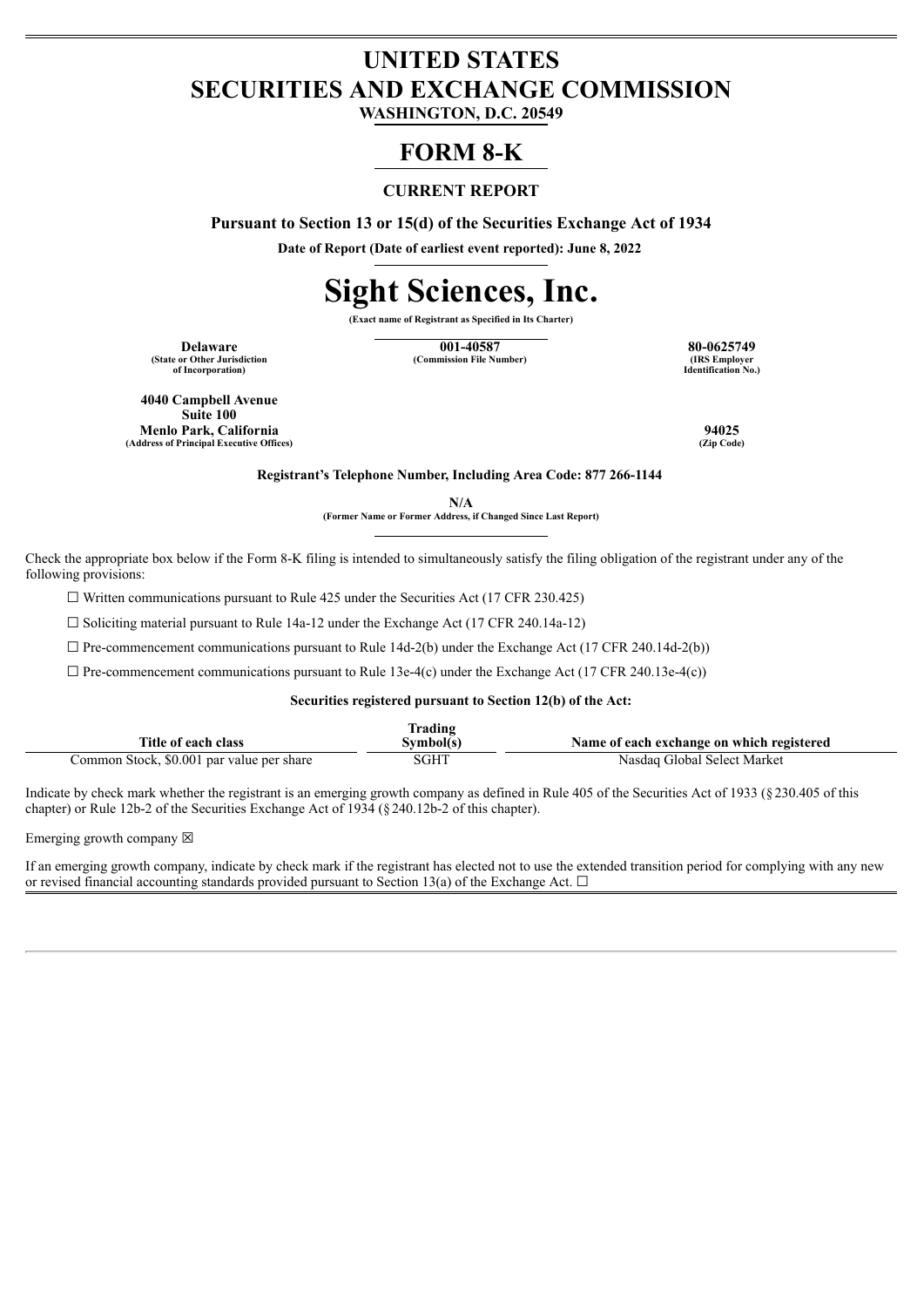## **UNITED STATES SECURITIES AND EXCHANGE COMMISSION**

**WASHINGTON, D.C. 20549**

### **FORM 8-K**

### **CURRENT REPORT**

**Pursuant to Section 13 or 15(d) of the Securities Exchange Act of 1934**

**Date of Report (Date of earliest event reported): June 8, 2022**

# **Sight Sciences, Inc.**

**(Exact name of Registrant as Specified in Its Charter)**

**(State or Other Jurisdiction of Incorporation)**

**Delaware 001-40587 80-0625749**  $(Commission File Number)$ 

**Identification No.)**

**4040 Campbell Avenue Suite 100 Menlo Park, California 94025 (Address of Principal Executive Offices) (Zip Code)**

**Registrant's Telephone Number, Including Area Code: 877 266-1144**

**N/A**

**(Former Name or Former Address, if Changed Since Last Report)**

Check the appropriate box below if the Form 8-K filing is intended to simultaneously satisfy the filing obligation of the registrant under any of the following provisions:

☐ Written communications pursuant to Rule 425 under the Securities Act (17 CFR 230.425)

 $\Box$  Soliciting material pursuant to Rule 14a-12 under the Exchange Act (17 CFR 240.14a-12)

 $\Box$  Pre-commencement communications pursuant to Rule 14d-2(b) under the Exchange Act (17 CFR 240.14d-2(b))

 $\Box$  Pre-commencement communications pursuant to Rule 13e-4(c) under the Exchange Act (17 CFR 240.13e-4(c))

#### **Securities registered pursuant to Section 12(b) of the Act:**

| frading                                   |           |                                           |  |  |
|-------------------------------------------|-----------|-------------------------------------------|--|--|
| Title of each class                       | Svmbol(s) | Name of each exchange on which registered |  |  |
| Common Stock, \$0.001 par value per share | SGHT      | Nasdaq Global Select Market               |  |  |

Indicate by check mark whether the registrant is an emerging growth company as defined in Rule 405 of the Securities Act of 1933 (§230.405 of this chapter) or Rule 12b-2 of the Securities Exchange Act of 1934 (§240.12b-2 of this chapter).

Emerging growth company  $\boxtimes$ 

If an emerging growth company, indicate by check mark if the registrant has elected not to use the extended transition period for complying with any new or revised financial accounting standards provided pursuant to Section 13(a) of the Exchange Act.  $\Box$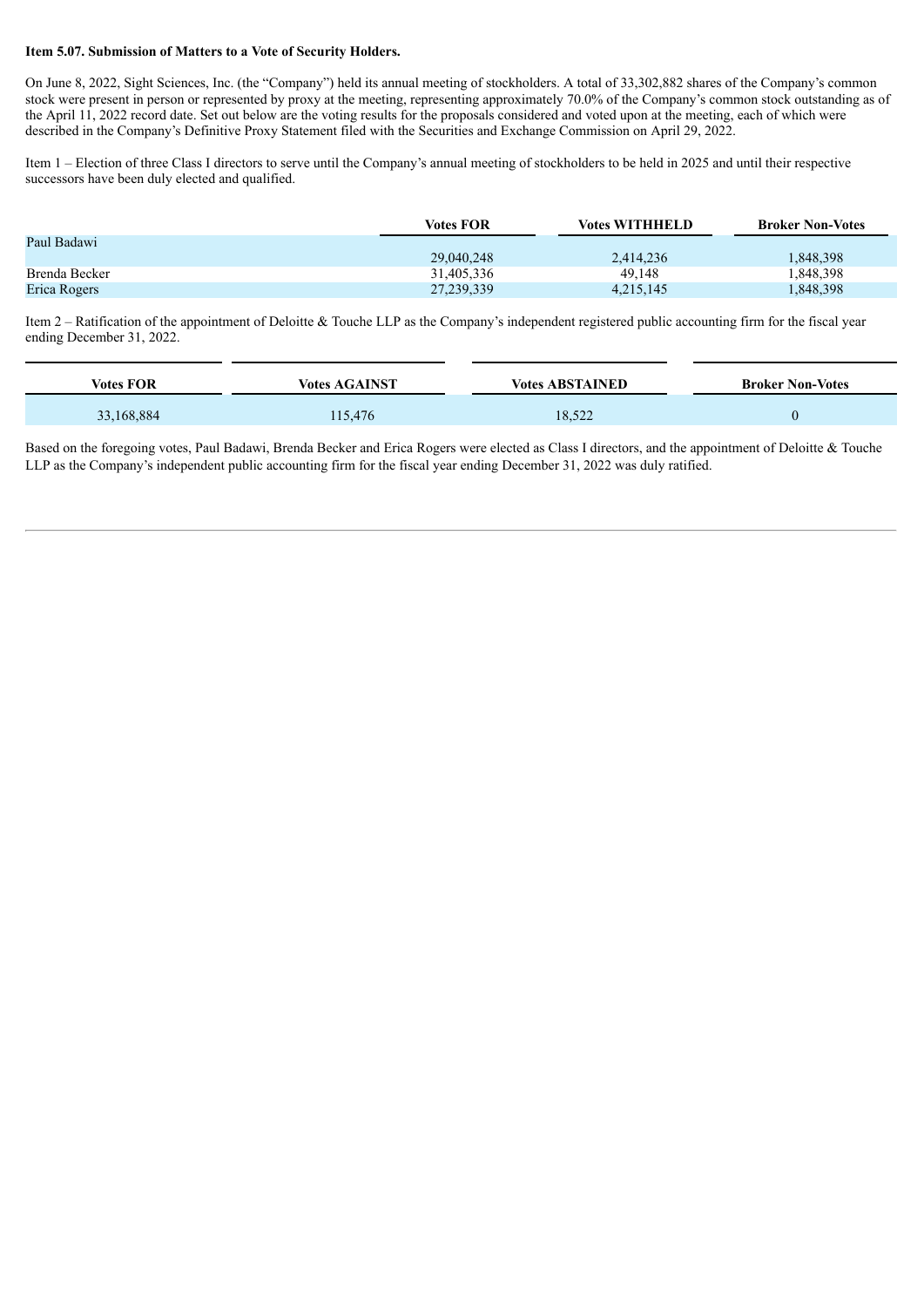### **Item 5.07. Submission of Matters to a Vote of Security Holders.**

On June 8, 2022, Sight Sciences, Inc. (the "Company") held its annual meeting of stockholders. A total of 33,302,882 shares of the Company's common stock were present in person or represented by proxy at the meeting, representing approximately 70.0% of the Company's common stock outstanding as of the April 11, 2022 record date. Set out below are the voting results for the proposals considered and voted upon at the meeting, each of which were described in the Company's Definitive Proxy Statement filed with the Securities and Exchange Commission on April 29, 2022.

Item 1 – Election of three Class I directors to serve until the Company's annual meeting of stockholders to be held in 2025 and until their respective successors have been duly elected and qualified.

|               | <b>Votes FOR</b> | <b>Votes WITHHELD</b> | <b>Broker Non-Votes</b> |
|---------------|------------------|-----------------------|-------------------------|
| Paul Badawi   |                  |                       |                         |
|               | 29,040,248       | 2,414,236             | 1,848,398               |
| Brenda Becker | 31,405,336       | 49.148                | 1,848,398               |
| Erica Rogers  | 27, 239, 339     | 4,215,145             | 1,848,398               |

Item  $2 -$  Ratification of the appointment of Deloitte & Touche LLP as the Company's independent registered public accounting firm for the fiscal year ending December 31, 2022.

| <b>Votes FOR</b> | <b>Votes AGAINST</b> | <b>Votes ABSTAINED</b> | <b>Broker Non-Votes</b> |
|------------------|----------------------|------------------------|-------------------------|
| 33,168,884       | 115,476              | 18,522                 |                         |

Based on the foregoing votes, Paul Badawi, Brenda Becker and Erica Rogers were elected as Class I directors, and the appointment of Deloitte & Touche LLP as the Company's independent public accounting firm for the fiscal year ending December 31, 2022 was duly ratified.